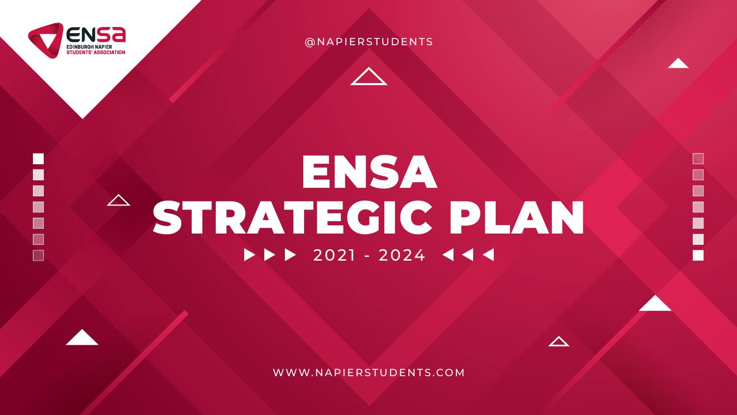

E

Н



# ENSA STRATEGIC PLAN  $2021 - 2024$

WWW.NAPIERSTUDENTS.COM



#### @NAPIERSTUDENTS

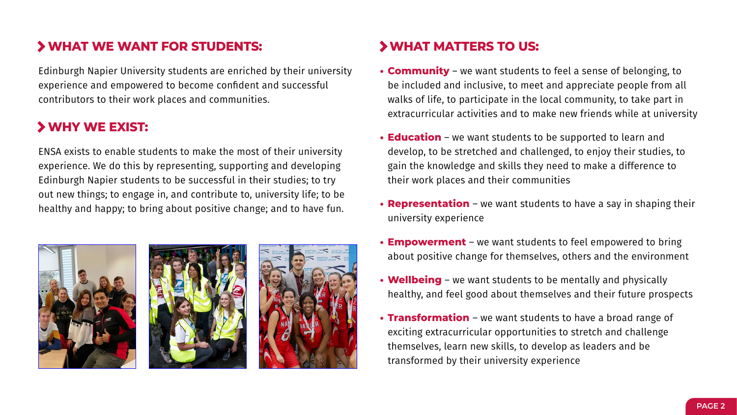#### **WHAT WE WANT FOR STUDENTS:**

Edinburgh Napier University students are enriched by their university experience and empowered to become confident and successful contributors to their work places and communities.

#### **WHY WE EXIST:**

ENSA exists to enable students to make the most of their university experience. We do this by representing, supporting and developing Edinburgh Napier students to be successful in their studies; to try out new things; to engage in, and contribute to, university life; to be healthy and happy; to bring about positive change; and to have fun.







#### **WHAT MATTERS TO US:**

- **• Community** we want students to feel a sense of belonging, to be included and inclusive, to meet and appreciate people from all walks of life, to participate in the local community, to take part in extracurricular activities and to make new friends while at university
	- **• Education** we want students to be supported to learn and develop, to be stretched and challenged, to enjoy their studies, to gain the knowledge and skills they need to make a difference to their work places and their communities
	- **• Representation**  we want students to have a say in shaping their university experience
	- **• Empowerment** we want students to feel empowered to bring about positive change for themselves, others and the environment
	- **• Wellbeing** we want students to be mentally and physically healthy, and feel good about themselves and their future prospects
	- **• Transformation**  we want students to have a broad range of exciting extracurricular opportunities to stretch and challenge themselves, learn new skills, to develop as leaders and be transformed by their university experience

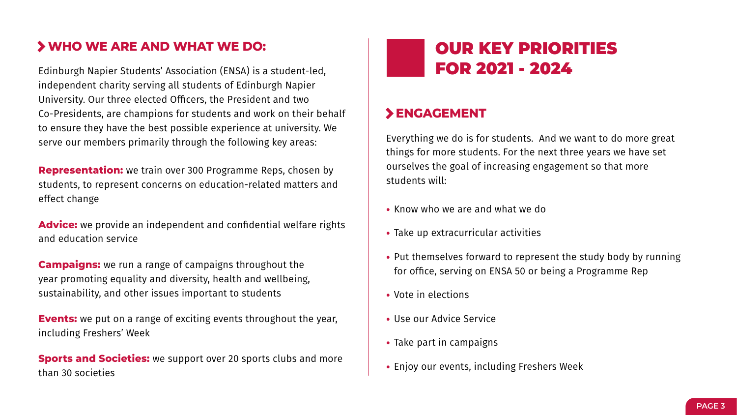#### **WHO WE ARE AND WHAT WE DO:**

Edinburgh Napier Students' Association (ENSA) is a student-led, independent charity serving all students of Edinburgh Napier University. Our three elected Officers, the President and two Co-Presidents, are champions for students and work on their behalf to ensure they have the best possible experience at university. We serve our members primarily through the following key areas:

**Events:** we put on a range of exciting events throughout the year, including Freshers' Week

**Representation:** we train over 300 Programme Reps, chosen by students, to represent concerns on education-related matters and effect change

**Sports and Societies:** we support over 20 sports clubs and more than 30 societies

**Advice:** we provide an independent and confidential welfare rights and education service

**Campaigns:** we run a range of campaigns throughout the year promoting equality and diversity, health and wellbeing, sustainability, and other issues important to students

#### **ENGAGEMENT**

Everything we do is for students. And we want to do more great things for more students. For the next three years we have set ourselves the goal of increasing engagement so that more students will:

- **•** Know who we are and what we do
- **•** Take up extracurricular activities
- **•** Put themselves forward to represent the study body by running for office, serving on ENSA 50 or being a Programme Rep
- **•** Vote in elections
- **•** Use our Advice Service
- **•** Take part in campaigns
- **•** Enjoy our events, including Freshers Week

## OUR KEY PRIORITIES FOR 2021 - 2024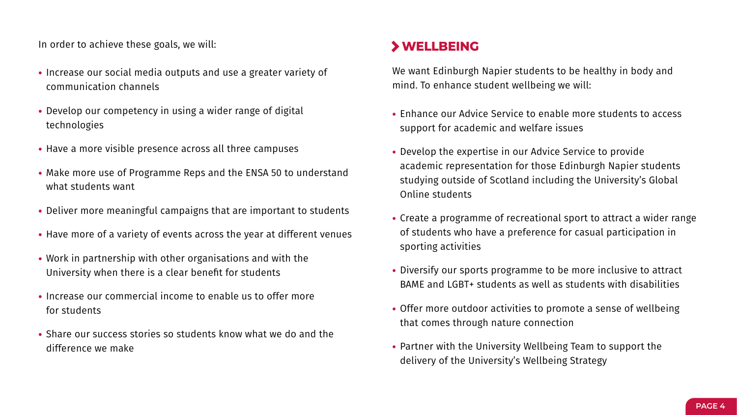In order to achieve these goals, we will:

- **•** Increase our social media outputs and use a greater variety of communication channels
- **•** Develop our competency in using a wider range of digital technologies
- **•** Have a more visible presence across all three campuses
- **•** Make more use of Programme Reps and the ENSA 50 to understand what students want
- **•** Deliver more meaningful campaigns that are important to students
- **•** Have more of a variety of events across the year at different venues
- **•** Work in partnership with other organisations and with the University when there is a clear benefit for students
- **•** Increase our commercial income to enable us to offer more for students
- **•** Share our success stories so students know what we do and the difference we make

#### **WELLBEING**

We want Edinburgh Napier students to be healthy in body and mind. To enhance student wellbeing we will:

- **•** Enhance our Advice Service to enable more students to access support for academic and welfare issues
- **•** Develop the expertise in our Advice Service to provide academic representation for those Edinburgh Napier students studying outside of Scotland including the University's Global Online students
- **•** Create a programme of recreational sport to attract a wider range of students who have a preference for casual participation in sporting activities
- **•** Diversify our sports programme to be more inclusive to attract BAME and LGBT+ students as well as students with disabilities
- **•** Offer more outdoor activities to promote a sense of wellbeing that comes through nature connection
- **•** Partner with the University Wellbeing Team to support the delivery of the University's Wellbeing Strategy

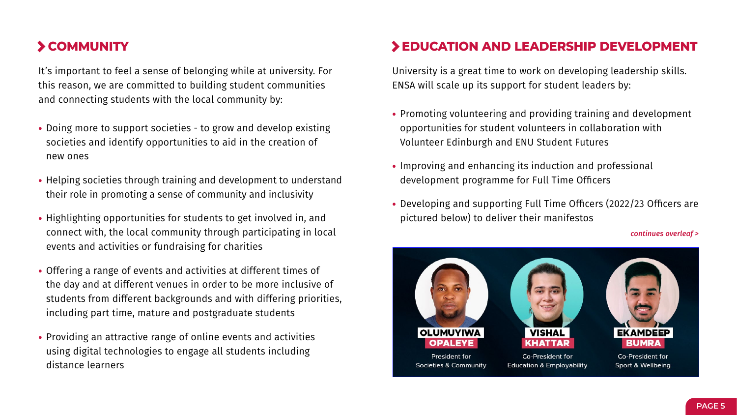### **COMMUNITY**

It's important to feel a sense of belonging while at university. For this reason, we are committed to building student communities and connecting students with the local community by:

- **•** Doing more to support societies to grow and develop existing societies and identify opportunities to aid in the creation of new ones
- **•** Helping societies through training and development to understand their role in promoting a sense of community and inclusivity
- **•** Highlighting opportunities for students to get involved in, and connect with, the local community through participating in local events and activities or fundraising for charities
- **•** Offering a range of events and activities at different times of the day and at different venues in order to be more inclusive of students from different backgrounds and with differing priorities, including part time, mature and postgraduate students
- **•** Providing an attractive range of online events and activities using digital technologies to engage all students including distance learners

#### **EDUCATION AND LEADERSHIP DEVELOPMENT**

University is a great time to work on developing leadership skills. ENSA will scale up its support for student leaders by:

- **•** Promoting volunteering and providing training and development opportunities for student volunteers in collaboration with Volunteer Edinburgh and ENU Student Futures
- **•** Improving and enhancing its induction and professional development programme for Full Time Officers
- **•** Developing and supporting Full Time Officers (2022/23 Officers are pictured below) to deliver their manifestos

*continues overleaf >*



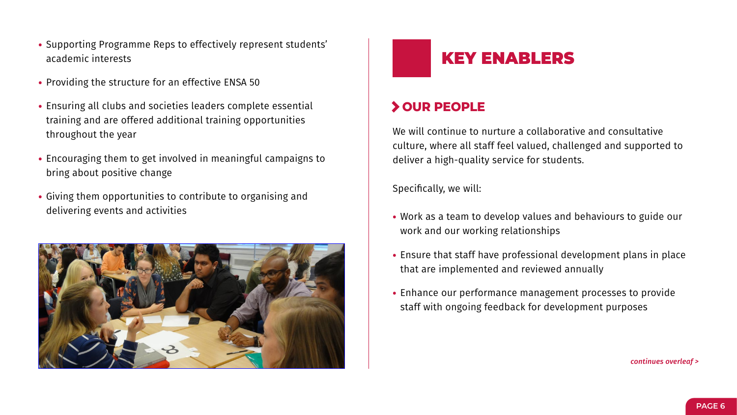- **•** Supporting Programme Reps to effectively represent students' academic interests
- **•** Providing the structure for an effective ENSA 50
- **•** Ensuring all clubs and societies leaders complete essential training and are offered additional training opportunities throughout the year
- **•** Encouraging them to get involved in meaningful campaigns to bring about positive change
- **•** Giving them opportunities to contribute to organising and delivering events and activities





#### **OUR PEOPLE**

We will continue to nurture a collaborative and consultative culture, where all staff feel valued, challenged and supported to deliver a high-quality service for students.

Specifically, we will:

- **•** Work as a team to develop values and behaviours to guide our work and our working relationships
- **•** Ensure that staff have professional development plans in place that are implemented and reviewed annually
- **•** Enhance our performance management processes to provide staff with ongoing feedback for development purposes

*continues overleaf >*

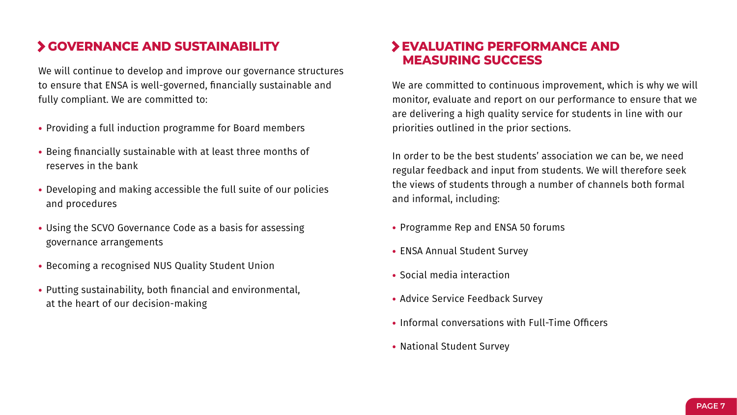#### **GOVERNANCE AND SUSTAINABILITY**

We will continue to develop and improve our governance structures to ensure that ENSA is well-governed, financially sustainable and fully compliant. We are committed to:

- **•** Providing a full induction programme for Board members
- **•** Being financially sustainable with at least three months of reserves in the bank
- **•** Developing and making accessible the full suite of our policies and procedures
- **•** Using the SCVO Governance Code as a basis for assessing governance arrangements
- **•** Becoming a recognised NUS Quality Student Union
- **•** Putting sustainability, both financial and environmental, at the heart of our decision-making

#### **EVALUATING PERFORMANCE AND MEASURING SUCCESS**

We are committed to continuous improvement, which is why we will monitor, evaluate and report on our performance to ensure that we are delivering a high quality service for students in line with our priorities outlined in the prior sections.

In order to be the best students' association we can be, we need regular feedback and input from students. We will therefore seek the views of students through a number of channels both formal and informal, including:

- **•** Programme Rep and ENSA 50 forums
- **•** ENSA Annual Student Survey
- **•** Social media interaction
- **•** Advice Service Feedback Survey
- **•** Informal conversations with Full-Time Officers
- **•** National Student Survey